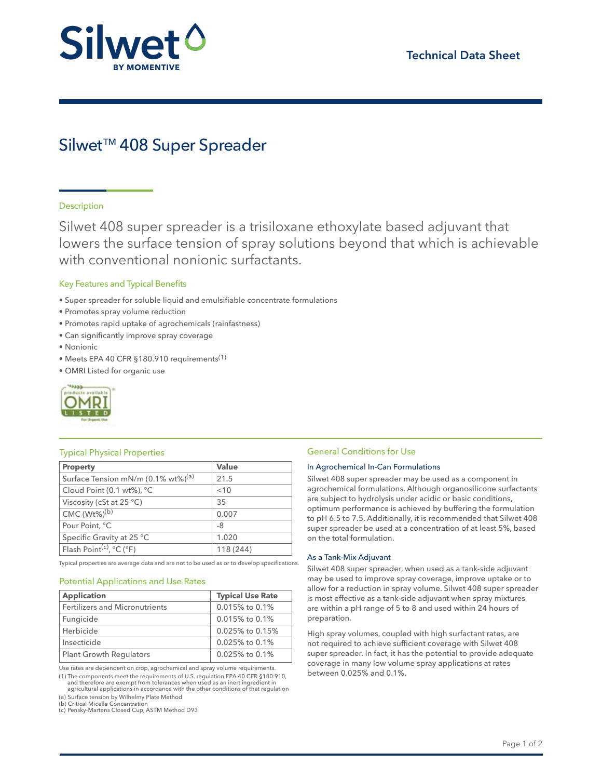

# Silwet<sup>™</sup> 408 Super Spreader

# **Description**

Silwet 408 super spreader is a trisiloxane ethoxylate based adjuvant that lowers the surface tension of spray solutions beyond that which is achievable with conventional nonionic surfactants.

## Key Features and Typical Benefits

- Super spreader for soluble liquid and emulsifiable concentrate formulations
- Promotes spray volume reduction
- Promotes rapid uptake of agrochemicals (rainfastness)
- Can significantly improve spray coverage
- Nonionic
- Meets EPA 40 CFR §180.910 requirements(1)
- OMRI Listed for organic use



| <b>Property</b>                                           | Value     |
|-----------------------------------------------------------|-----------|
| Surface Tension mN/m (0.1% wt%) <sup>(a)</sup>            | 21.5      |
| Cloud Point (0.1 wt%), °C                                 | < 10      |
| Viscosity (cSt at $25 °C$ )                               | 35        |
| $CMC (Wt\%)^{(b)}$                                        | 0.007     |
| Pour Point, °C                                            | -8        |
| Specific Gravity at 25 °C                                 | 1.020     |
| Flash Point <sup>(c)</sup> , $^{\circ}$ C ( $^{\circ}$ F) | 118 (244) |

Typical properties are average data and are not to be used as or to develop specifications.

#### Potential Applications and Use Rates

| <b>Application</b>             | <b>Typical Use Rate</b> |
|--------------------------------|-------------------------|
| Fertilizers and Micronutrients | $0.015\%$ to $0.1\%$    |
| Fungicide                      | $0.015\%$ to $0.1\%$    |
| Herbicide                      | $0.025\%$ to $0.15\%$   |
| Insecticide                    | $0.025\%$ to $0.1\%$    |
| <b>Plant Growth Regulators</b> | $0.025\%$ to $0.1\%$    |

Use rates are dependent on crop, agrochemical and spray volume requirements.

(1) The components meet the requirements of U.S. regulation EPA 40 CFR §180.910, and therefore are exempt from tolerances when used as an inert ingredient in agricultural applications in accordance with the other conditions of that regulation

(a) Surface tension by Wilhelmy Plate Method (b) Critical Micelle Concentration

(c) Pensky-Martens Closed Cup, ASTM Method D93

# Typical Physical Properties Typical Physical Properties General Conditions for Use

#### In Agrochemical In-Can Formulations

Silwet 408 super spreader may be used as a component in agrochemical formulations. Although organosilicone surfactants are subject to hydrolysis under acidic or basic conditions, optimum performance is achieved by buffering the formulation to pH 6.5 to 7.5. Additionally, it is recommended that Silwet 408 super spreader be used at a concentration of at least 5%, based on the total formulation.

#### As a Tank-Mix Adjuvant

Silwet 408 super spreader, when used as a tank-side adjuvant may be used to improve spray coverage, improve uptake or to allow for a reduction in spray volume. Silwet 408 super spreader is most effective as a tank-side adjuvant when spray mixtures are within a pH range of 5 to 8 and used within 24 hours of preparation.

High spray volumes, coupled with high surfactant rates, are not required to achieve sufficient coverage with Silwet 408 super spreader. In fact, it has the potential to provide adequate coverage in many low volume spray applications at rates between 0.025% and 0.1%.